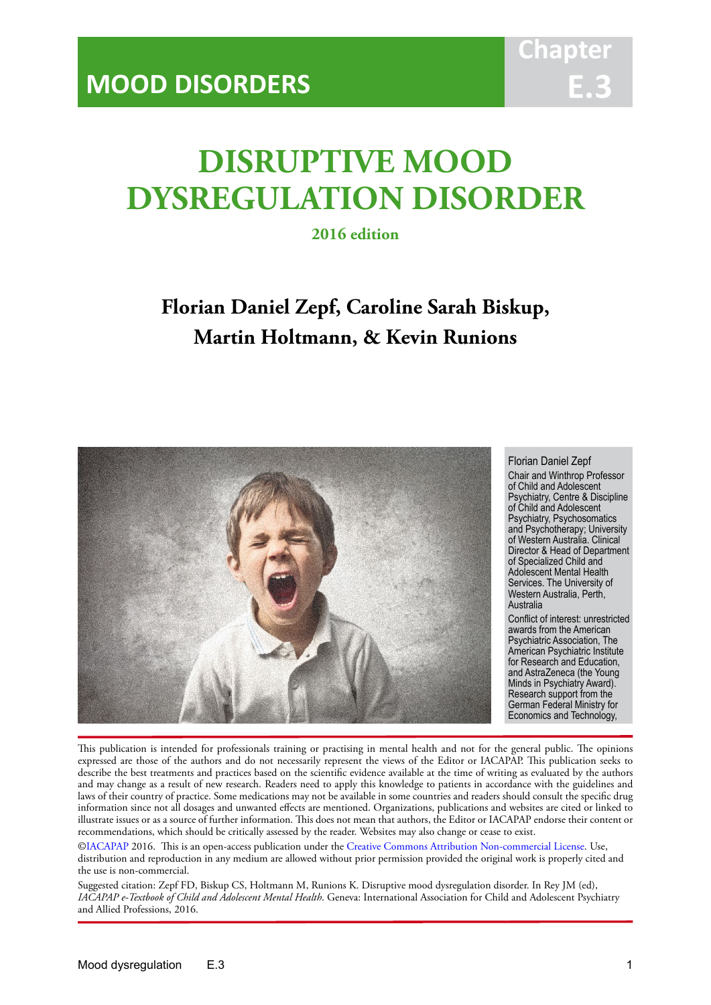# **DISRUPTIVE MOOD DYSREGULATION DISORDER**

IACAPAP Textbook of Child and Adolescent Mental Health

**2016 edition**

# **Florian Daniel Zepf, Caroline Sarah Biskup, Martin Holtmann, & Kevin Runions**



#### Florian Daniel Zepf

Chair and Winthrop Professor of Child and Adolescent Psychiatry, Centre & Discipline of Child and Adolescent Psychiatry, Psychosomatics and Psychotherapy; University of Western Australia. Clinical Director & Head of Department of Specialized Child and Adolescent Mental Health Services. The University of Western Australia, Perth, Australia

Conflict of interest: unrestricted awards from the American Psychiatric Association, The American Psychiatric Institute for Research and Education, and AstraZeneca (the Young Minds in Psychiatry Award). Research support from the German Federal Ministry for Economics and Technology,

This publication is intended for professionals training or practising in mental health and not for the general public. The opinions expressed are those of the authors and do not necessarily represent the views of the Editor or IACAPAP. This publication seeks to describe the best treatments and practices based on the scientific evidence available at the time of writing as evaluated by the authors and may change as a result of new research. Readers need to apply this knowledge to patients in accordance with the guidelines and laws of their country of practice. Some medications may not be available in some countries and readers should consult the specific drug information since not all dosages and unwanted effects are mentioned. Organizations, publications and websites are cited or linked to illustrate issues or as a source of further information. This does not mean that authors, the Editor or IACAPAP endorse their content or recommendations, which should be critically assessed by the reader. Websites may also change or cease to exist.

[©IACAPAP](http://iacapap.org) 2016. This is an open-access publication under the [Creative Commons Attribution Non-commercial License](http://creativecommons.org). Use, distribution and reproduction in any medium are allowed without prior permission provided the original work is properly cited and the use is non-commercial.

Suggested citation: Zepf FD, Biskup CS, Holtmann M, Runions K. Disruptive mood dysregulation disorder. In Rey JM (ed), *IACAPAP e-Textbook of Child and Adolescent Mental Health*. Geneva: International Association for Child and Adolescent Psychiatry and Allied Professions, 2016.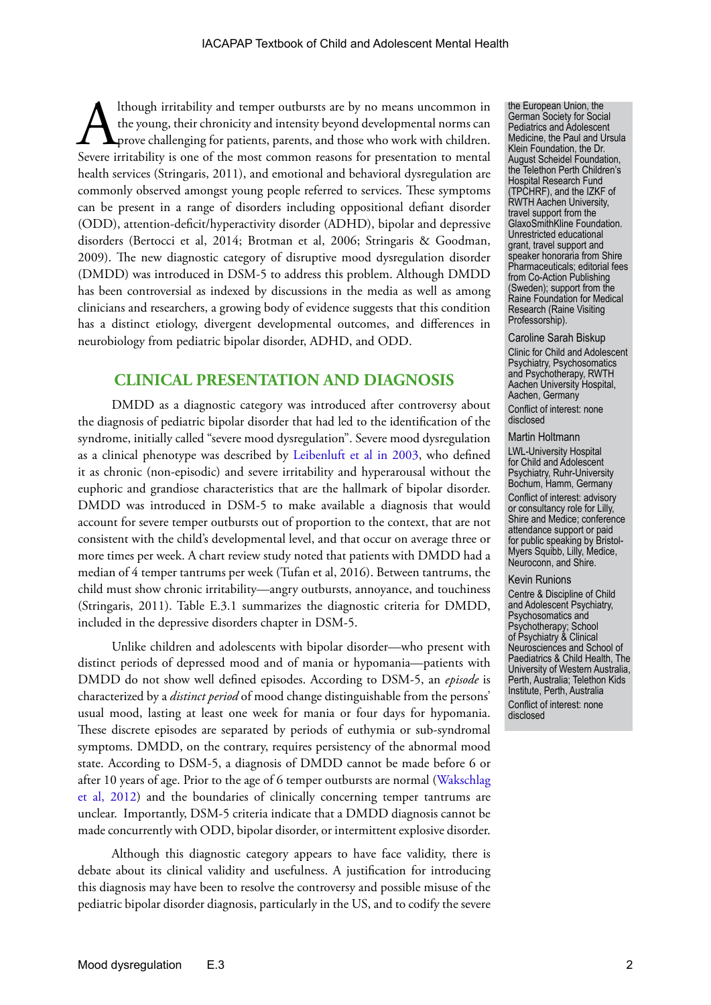Ithough irritability and temper outbursts are by no means uncommon in<br>the young, their chronicity and intensity beyond developmental norms can<br>prove challenging for patients, parents, and those who work with children.<br>Seve the young, their chronicity and intensity beyond developmental norms can **L** prove challenging for patients, parents, and those who work with children. Severe irritability is one of the most common reasons for presentation to mental health services (Stringaris, 2011), and emotional and behavioral dysregulation are commonly observed amongst young people referred to services. These symptoms can be present in a range of disorders including oppositional defiant disorder (ODD), attention-deficit/hyperactivity disorder (ADHD), bipolar and depressive disorders (Bertocci et al, 2014; Brotman et al, 2006; Stringaris & Goodman, 2009). The new diagnostic category of disruptive mood dysregulation disorder (DMDD) was introduced in DSM-5 to address this problem. Although DMDD has been controversial as indexed by discussions in the media as well as among clinicians and researchers, a growing body of evidence suggests that this condition has a distinct etiology, divergent developmental outcomes, and differences in neurobiology from pediatric bipolar disorder, ADHD, and ODD.

### **CLINICAL PRESENTATION AND DIAGNOSIS**

DMDD as a diagnostic category was introduced after controversy about the diagnosis of pediatric bipolar disorder that had led to the identification of the syndrome, initially called "severe mood dysregulation". Severe mood dysregulation as a clinical phenotype was described by [Leibenluft et al in 2003,](http://bridgingthechasm.com/resources/bipd/NIMH-JuvenileMania-2003.pdf) who defined it as chronic (non-episodic) and severe irritability and hyperarousal without the euphoric and grandiose characteristics that are the hallmark of bipolar disorder. DMDD was introduced in DSM-5 to make available a diagnosis that would account for severe temper outbursts out of proportion to the context, that are not consistent with the child's developmental level, and that occur on average three or more times per week. A chart review study noted that patients with DMDD had a median of 4 temper tantrums per week (Tufan et al, 2016). Between tantrums, the child must show chronic irritability—angry outbursts, annoyance, and touchiness (Stringaris, 2011). Table E.3.1 summarizes the diagnostic criteria for DMDD, included in the depressive disorders chapter in DSM-5.

Unlike children and adolescents with bipolar disorder—who present with distinct periods of depressed mood and of mania or hypomania—patients with DMDD do not show well defined episodes. According to DSM-5, an *episode* is characterized by a *distinct period* of mood change distinguishable from the persons' usual mood, lasting at least one week for mania or four days for hypomania. These discrete episodes are separated by periods of euthymia or sub-syndromal symptoms. DMDD, on the contrary, requires persistency of the abnormal mood state. According to DSM-5, a diagnosis of DMDD cannot be made before 6 or after 10 years of age. Prior to the age of 6 temper outbursts are normal ([Wakschlag](http://digitalcommons.uconn.edu/cgi/viewcontent.cgi?article=1167&context=uchcres_articles)  [et al, 2012](http://digitalcommons.uconn.edu/cgi/viewcontent.cgi?article=1167&context=uchcres_articles)) and the boundaries of clinically concerning temper tantrums are unclear. Importantly, DSM-5 criteria indicate that a DMDD diagnosis cannot be made concurrently with ODD, bipolar disorder, or intermittent explosive disorder.

Although this diagnostic category appears to have face validity, there is debate about its clinical validity and usefulness. A justification for introducing this diagnosis may have been to resolve the controversy and possible misuse of the pediatric bipolar disorder diagnosis, particularly in the US, and to codify the severe the European Union, the German Society for Social Pediatrics and Adolescent Medicine, the Paul and Ursula Klein Foundation, the Dr. August Scheidel Foundation, the Telethon Perth Children's Hospital Research Fund (TPCHRF), and the IZKF of RWTH Aachen University, travel support from the GlaxoSmithKline Foundation. Unrestricted educational grant, travel support and speaker honoraria from Shire Pharmaceuticals; editorial fees from Co-Action Publishing (Sweden); support from the Raine Foundation for Medical Research (Raine Visiting Professorship).

#### Caroline Sarah Biskup

Clinic for Child and Adolescent Psychiatry, Psychosomatics and Psychotherapy, RWTH Aachen University Hospital, Aachen, Germany Conflict of interest: none disclosed

#### Martin Holtmann

LWL-University Hospital for Child and Adolescent Psychiatry, Ruhr-University Bochum, Hamm, Germany Conflict of interest: advisory or consultancy role for Lilly, Shire and Medice; conference attendance support or paid for public speaking by Bristol-Myers Squibb, Lilly, Medice, Neuroconn, and Shire.

#### Kevin Runions

Centre & Discipline of Child and Adolescent Psychiatry, Psychosomatics and Psychotherapy; School of Psychiatry & Clinical Neurosciences and School of Paediatrics & Child Health, The University of Western Australia, Perth, Australia; Telethon Kids Institute, Perth, Australia Conflict of interest: none disclosed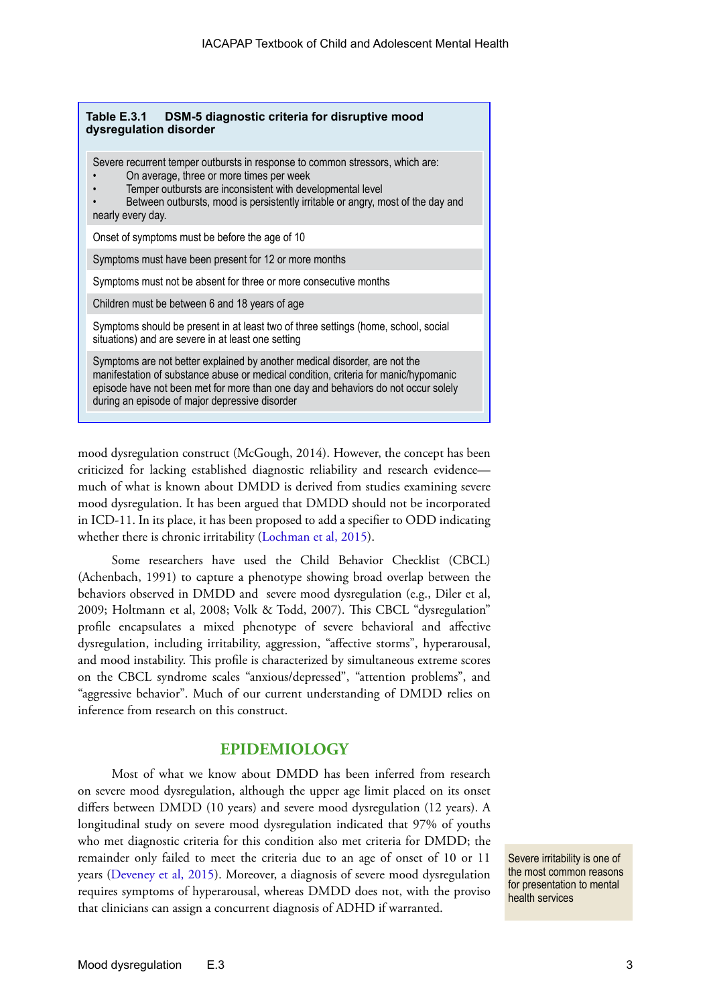| DSM-5 diagnostic criteria for disruptive mood<br>Table E.3.1<br>dysregulation disorder                                                                                                                                                                                                                   |
|----------------------------------------------------------------------------------------------------------------------------------------------------------------------------------------------------------------------------------------------------------------------------------------------------------|
| Severe recurrent temper outbursts in response to common stressors, which are:<br>On average, three or more times per week<br>Temper outbursts are inconsistent with developmental level<br>Between outbursts, mood is persistently irritable or angry, most of the day and<br>nearly every day.          |
| Onset of symptoms must be before the age of 10                                                                                                                                                                                                                                                           |
| Symptoms must have been present for 12 or more months                                                                                                                                                                                                                                                    |
| Symptoms must not be absent for three or more consecutive months                                                                                                                                                                                                                                         |
| Children must be between 6 and 18 years of age                                                                                                                                                                                                                                                           |
| Symptoms should be present in at least two of three settings (home, school, social<br>situations) and are severe in at least one setting                                                                                                                                                                 |
| Symptoms are not better explained by another medical disorder, are not the<br>manifestation of substance abuse or medical condition, criteria for manic/hypomanic<br>episode have not been met for more than one day and behaviors do not occur solely<br>during an episode of major depressive disorder |

mood dysregulation construct (McGough, 2014). However, the concept has been criticized for lacking established diagnostic reliability and research evidence much of what is known about DMDD is derived from studies examining severe mood dysregulation. It has been argued that DMDD should not be incorporated in ICD-11. In its place, it has been proposed to add a specifier to ODD indicating whether there is chronic irritability [\(Lochman et al, 2015\)](http://onlinelibrary.wiley.com/doi/10.1002/wps.20176/full).

Some researchers have used the Child Behavior Checklist (CBCL) (Achenbach, 1991) to capture a phenotype showing broad overlap between the behaviors observed in DMDD and severe mood dysregulation (e.g., Diler et al, 2009; Holtmann et al, 2008; Volk & Todd, 2007). This CBCL "dysregulation" profile encapsulates a mixed phenotype of severe behavioral and affective dysregulation, including irritability, aggression, "affective storms", hyperarousal, and mood instability. This profile is characterized by simultaneous extreme scores on the CBCL syndrome scales "anxious/depressed", "attention problems", and "aggressive behavior". Much of our current understanding of DMDD relies on inference from research on this construct.

#### **EPIDEMIOLOGY**

Most of what we know about DMDD has been inferred from research on severe mood dysregulation, although the upper age limit placed on its onset differs between DMDD (10 years) and severe mood dysregulation (12 years). A longitudinal study on severe mood dysregulation indicated that 97% of youths who met diagnostic criteria for this condition also met criteria for DMDD; the remainder only failed to meet the criteria due to an age of onset of 10 or 11 years ([Deveney et al, 2015](http://www.kcl.ac.uk/ioppn/depts/cap/research/moodlab/Papers/Deveney-et-al-A-Prospective-Study-of-Severe-Irritability-in-Youths---2-and-4-year-Follow-Up.pdf)). Moreover, a diagnosis of severe mood dysregulation requires symptoms of hyperarousal, whereas DMDD does not, with the proviso that clinicians can assign a concurrent diagnosis of ADHD if warranted.

Severe irritability is one of the most common reasons for presentation to mental health services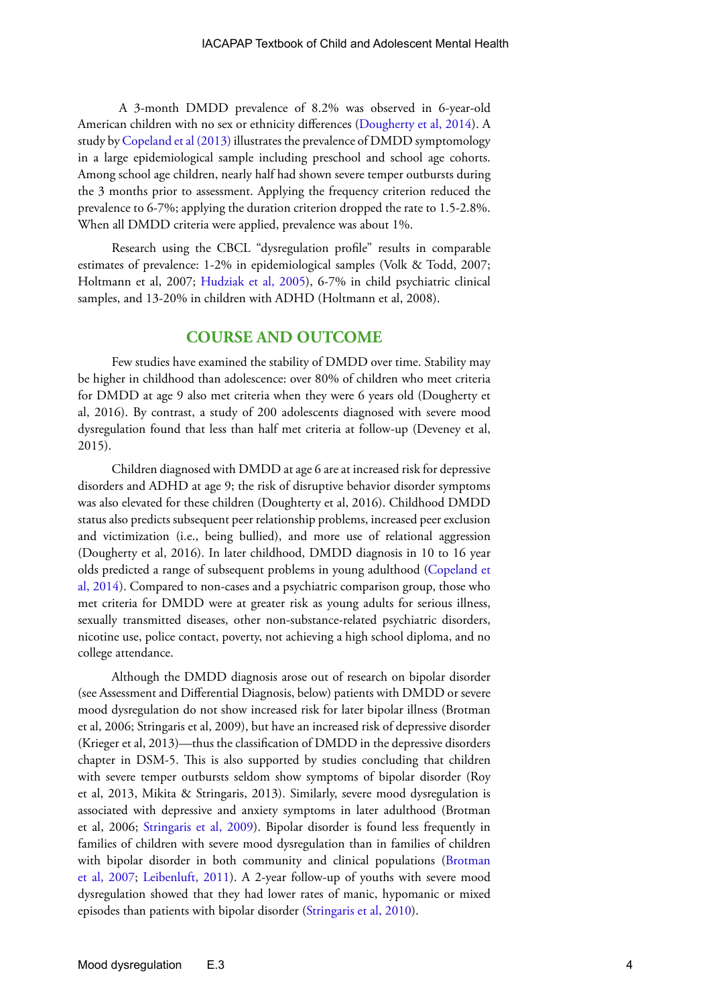A 3-month DMDD prevalence of 8.2% was observed in 6-year-old American children with no sex or ethnicity differences ([Dougherty et al, 2014\)](http://www.ncbi.nlm.nih.gov/pmc/articles/PMC4480202/). A study by [Copeland et al \(2013\)](http://www.ncbi.nlm.nih.gov/pmc/articles/PMC3573525/) illustrates the prevalence of DMDD symptomology in a large epidemiological sample including preschool and school age cohorts. Among school age children, nearly half had shown severe temper outbursts during the 3 months prior to assessment. Applying the frequency criterion reduced the prevalence to 6-7%; applying the duration criterion dropped the rate to 1.5-2.8%. When all DMDD criteria were applied, prevalence was about 1%.

Research using the CBCL "dysregulation profile" results in comparable estimates of prevalence: 1-2% in epidemiological samples (Volk & Todd, 2007; Holtmann et al, 2007; [Hudziak et al, 2005\)](http://www.tweelingenregister.org/nederlands/verslaggeving/NTR_publicaties_2005/Hudziak_BP_2005.pdf), 6-7% in child psychiatric clinical samples, and 13-20% in children with ADHD (Holtmann et al, 2008).

#### **COURSE AND OUTCOME**

Few studies have examined the stability of DMDD over time. Stability may be higher in childhood than adolescence: over 80% of children who meet criteria for DMDD at age 9 also met criteria when they were 6 years old (Dougherty et al, 2016). By contrast, a study of 200 adolescents diagnosed with severe mood dysregulation found that less than half met criteria at follow-up (Deveney et al, 2015).

Children diagnosed with DMDD at age 6 are at increased risk for depressive disorders and ADHD at age 9; the risk of disruptive behavior disorder symptoms was also elevated for these children (Doughterty et al, 2016). Childhood DMDD status also predicts subsequent peer relationship problems, increased peer exclusion and victimization (i.e., being bullied), and more use of relational aggression (Dougherty et al, 2016). In later childhood, DMDD diagnosis in 10 to 16 year olds predicted a range of subsequent problems in young adulthood [\(Copeland et](http://europepmc.org/articles/pmc4106474)  [al, 2014\)](http://europepmc.org/articles/pmc4106474). Compared to non-cases and a psychiatric comparison group, those who met criteria for DMDD were at greater risk as young adults for serious illness, sexually transmitted diseases, other non-substance-related psychiatric disorders, nicotine use, police contact, poverty, not achieving a high school diploma, and no college attendance.

Although the DMDD diagnosis arose out of research on bipolar disorder (see Assessment and Differential Diagnosis, below) patients with DMDD or severe mood dysregulation do not show increased risk for later bipolar illness (Brotman et al, 2006; Stringaris et al, 2009), but have an increased risk of depressive disorder (Krieger et al, 2013)—thus the classification of DMDD in the depressive disorders chapter in DSM-5. This is also supported by studies concluding that children with severe temper outbursts seldom show symptoms of bipolar disorder (Roy et al, 2013, Mikita & Stringaris, 2013). Similarly, severe mood dysregulation is associated with depressive and anxiety symptoms in later adulthood (Brotman et al, 2006; [Stringaris et al, 2009](http://www.ncbi.nlm.nih.gov/pmc/articles/PMC2791884/)). Bipolar disorder is found less frequently in families of children with severe mood dysregulation than in families of children with bipolar disorder in both community and clinical populations [\(Brotman](https://www.researchgate.net/profile/Brendan_Rich2/publication/6168613_Parental_diagnoses_in_youth_with_narrow_phenotype_bipolar_disorder_or_severe_mood_dysregulation/links/0fcfd50a2ae74b39c1000000.pdf)  [et al, 2007;](https://www.researchgate.net/profile/Brendan_Rich2/publication/6168613_Parental_diagnoses_in_youth_with_narrow_phenotype_bipolar_disorder_or_severe_mood_dysregulation/links/0fcfd50a2ae74b39c1000000.pdf) [Leibenluft, 2011](http://www.ncbi.nlm.nih.gov/pmc/articles/PMC4476313/)). A 2-year follow-up of youths with severe mood dysregulation showed that they had lower rates of manic, hypomanic or mixed episodes than patients with bipolar disorder ([Stringaris et al, 2010\)](http://www.ncbi.nlm.nih.gov/pmc/articles/PMC3000433/).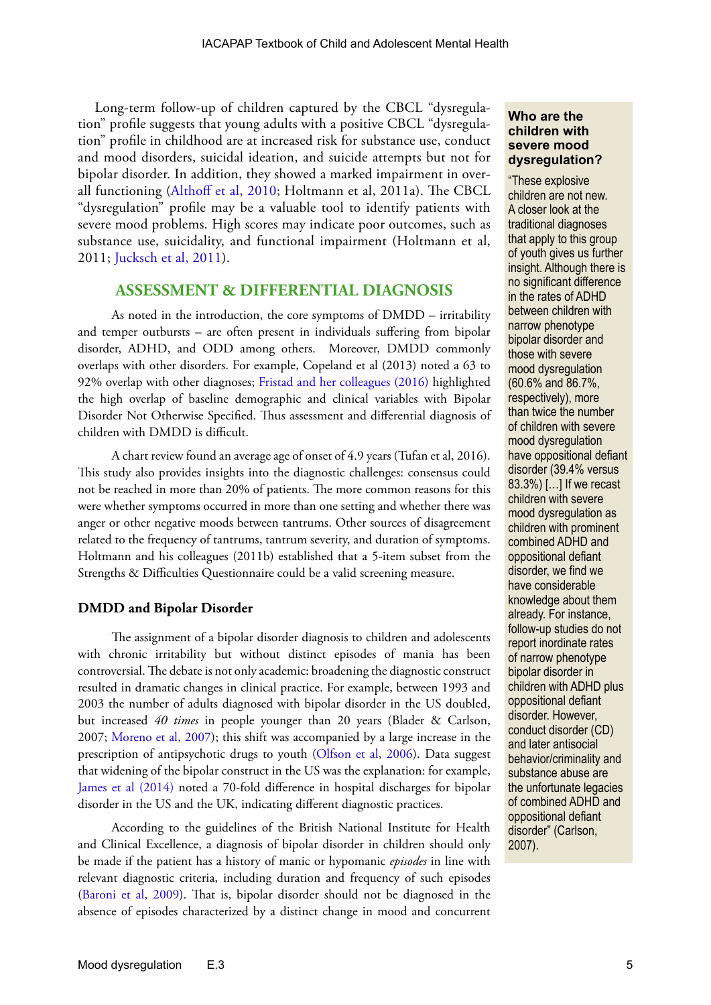Long-term follow-up of children captured by the CBCL "dysregulation" profile suggests that young adults with a positive CBCL "dysregulation" profile in childhood are at increased risk for substance use, conduct and mood disorders, suicidal ideation, and suicide attempts but not for bipolar disorder. In addition, they showed a marked impairment in overall functioning [\(Althoff et al, 2010;](http://www.ncbi.nlm.nih.gov/pmc/articles/PMC2965164/) Holtmann et al, 2011a). The CBCL "dysregulation" profile may be a valuable tool to identify patients with severe mood problems. High scores may indicate poor outcomes, such as substance use, suicidality, and functional impairment (Holtmann et al, 2011; [Jucksch et al, 2011\)](https://www.researchgate.net/profile/Viola_Kappel_maiden_name_Jucksch/publication/47642806_Severe_affective_and_behavioural_dysregulation_is_associated_with_significant_psychosocial_adversity_and_impairment/links/02e7e51e0032ea4b0e000000.pdf).

#### **ASSESSMENT & DIFFERENTIAL DIAGNOSIS**

As noted in the introduction, the core symptoms of DMDD – irritability and temper outbursts – are often present in individuals suffering from bipolar disorder, ADHD, and ODD among others. Moreover, DMDD commonly overlaps with other disorders. For example, Copeland et al (2013) noted a 63 to 92% overlap with other diagnoses; [Fristad and her colleagues \(2016\)](http://online.liebertpub.com/doi/pdfplus/10.1089/cap.2015.0062) highlighted the high overlap of baseline demographic and clinical variables with Bipolar Disorder Not Otherwise Specified. Thus assessment and differential diagnosis of children with DMDD is difficult.

A chart review found an average age of onset of 4.9 years (Tufan et al, 2016). This study also provides insights into the diagnostic challenges: consensus could not be reached in more than 20% of patients. The more common reasons for this were whether symptoms occurred in more than one setting and whether there was anger or other negative moods between tantrums. Other sources of disagreement related to the frequency of tantrums, tantrum severity, and duration of symptoms. Holtmann and his colleagues (2011b) established that a 5-item subset from the Strengths & Difficulties Questionnaire could be a valid screening measure.

#### **DMDD and Bipolar Disorder**

The assignment of a bipolar disorder diagnosis to children and adolescents with chronic irritability but without distinct episodes of mania has been controversial. The debate is not only academic: broadening the diagnostic construct resulted in dramatic changes in clinical practice. For example, between 1993 and 2003 the number of adults diagnosed with bipolar disorder in the US doubled, but increased *40 times* in people younger than 20 years (Blader & Carlson, 2007; [Moreno et al, 2007\)](http://archpsyc.jamanetwork.com/article.aspx?articleid=482424); this shift was accompanied by a large increase in the prescription of antipsychotic drugs to youth ([Olfson et al, 2006\)](http://archpsyc.jamanetwork.com/article.aspx?articleid=209678). Data suggest that widening of the bipolar construct in the US was the explanation: for example, [James et al \(2014\)](http://www.ncbi.nlm.nih.gov/pmc/articles/PMC4473258/) noted a 70-fold difference in hospital discharges for bipolar disorder in the US and the UK, indicating different diagnostic practices.

According to the guidelines of the British National Institute for Health and Clinical Excellence, a diagnosis of bipolar disorder in children should only be made if the patient has a history of manic or hypomanic *episodes* in line with relevant diagnostic criteria, including duration and frequency of such episodes ([Baroni et al, 2009](http://www.ncbi.nlm.nih.gov/pmc/articles/PMC2786990/)). That is, bipolar disorder should not be diagnosed in the absence of episodes characterized by a distinct change in mood and concurrent

#### **Who are the children with severe mood dysregulation?**

"These explosive children are not new. A closer look at the traditional diagnoses that apply to this group of youth gives us further insight. Although there is no significant difference in the rates of ADHD between children with narrow phenotype bipolar disorder and those with severe mood dysregulation (60.6% and 86.7%, respectively), more than twice the number of children with severe mood dysregulation have oppositional defiant disorder (39.4% versus 83.3%) […] If we recast children with severe mood dysregulation as children with prominent combined ADHD and oppositional defiant disorder, we find we have considerable knowledge about them already. For instance, follow-up studies do not report inordinate rates of narrow phenotype bipolar disorder in children with ADHD plus oppositional defiant disorder. However, conduct disorder (CD) and later antisocial behavior/criminality and substance abuse are the unfortunate legacies of combined ADHD and oppositional defiant disorder" (Carlson, 2007).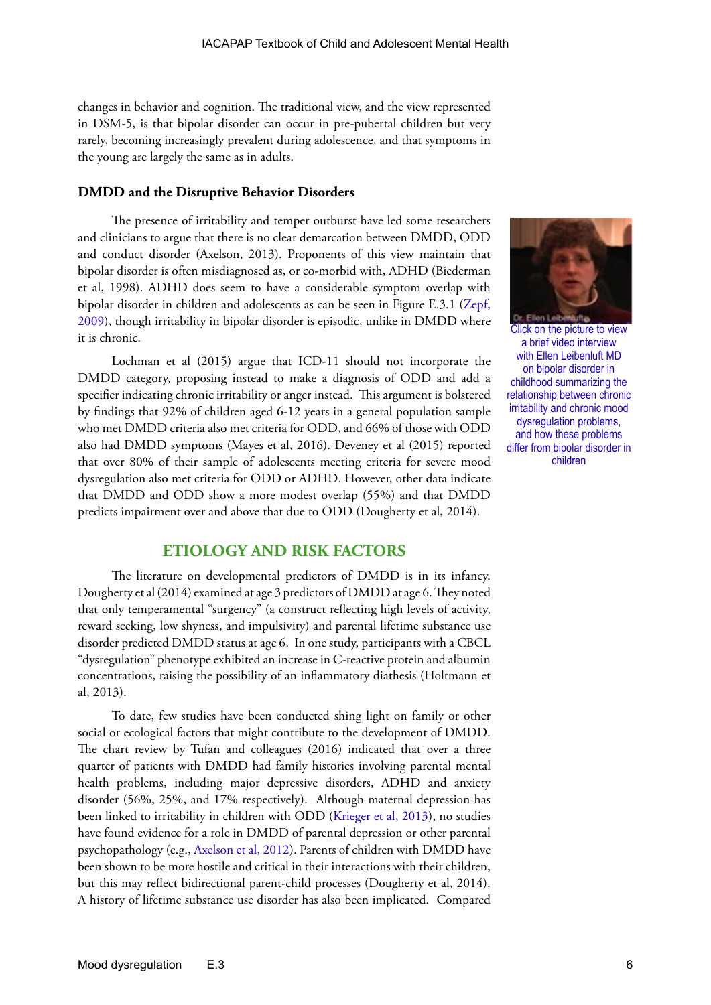changes in behavior and cognition. The traditional view, and the view represented in DSM-5, is that bipolar disorder can occur in pre-pubertal children but very rarely, becoming increasingly prevalent during adolescence, and that symptoms in the young are largely the same as in adults.

#### **DMDD and the Disruptive Behavior Disorders**

The presence of irritability and temper outburst have led some researchers and clinicians to argue that there is no clear demarcation between DMDD, ODD and conduct disorder (Axelson, 2013). Proponents of this view maintain that bipolar disorder is often misdiagnosed as, or co-morbid with, ADHD (Biederman et al, 1998). ADHD does seem to have a considerable symptom overlap with bipolar disorder in children and adolescents as can be seen in Figure E.3.1 [\(Zepf,](http://www.dialogues-cns.org/publication/attention-deficit-hyperactivity-disorder-and-early-onset-bipolar-disorder-two-facets-of-one-entity/)  [2009](http://www.dialogues-cns.org/publication/attention-deficit-hyperactivity-disorder-and-early-onset-bipolar-disorder-two-facets-of-one-entity/)), though irritability in bipolar disorder is episodic, unlike in DMDD where it is chronic.

Lochman et al (2015) argue that ICD-11 should not incorporate the DMDD category, proposing instead to make a diagnosis of ODD and add a specifier indicating chronic irritability or anger instead. This argument is bolstered by findings that 92% of children aged 6-12 years in a general population sample who met DMDD criteria also met criteria for ODD, and 66% of those with ODD also had DMDD symptoms (Mayes et al, 2016). Deveney et al (2015) reported that over 80% of their sample of adolescents meeting criteria for severe mood dysregulation also met criteria for ODD or ADHD. However, other data indicate that DMDD and ODD show a more modest overlap (55%) and that DMDD predicts impairment over and above that due to ODD (Dougherty et al, 2014).



Click on the picture to view a brief video interview with Ellen Leibenluft MD on bipolar disorder in childhood summarizing the relationship between chronic irritability and chronic mood dysregulation problems, and how these problems [differ from bipolar disorder in](http://www.youtube.com/watch?v=2OfNPiZz3Lw)  children

#### **ETIOLOGY AND RISK FACTORS**

The literature on developmental predictors of DMDD is in its infancy. Dougherty et al (2014) examined at age 3 predictors of DMDD at age 6. They noted that only temperamental "surgency" (a construct reflecting high levels of activity, reward seeking, low shyness, and impulsivity) and parental lifetime substance use disorder predicted DMDD status at age 6. In one study, participants with a CBCL "dysregulation" phenotype exhibited an increase in C-reactive protein and albumin concentrations, raising the possibility of an inflammatory diathesis (Holtmann et al, 2013).

To date, few studies have been conducted shing light on family or other social or ecological factors that might contribute to the development of DMDD. The chart review by Tufan and colleagues (2016) indicated that over a three quarter of patients with DMDD had family histories involving parental mental health problems, including major depressive disorders, ADHD and anxiety disorder (56%, 25%, and 17% respectively). Although maternal depression has been linked to irritability in children with ODD ([Krieger et al, 2013\)](http://www.scielo.br/scielo.php?pid=S1516-44462013000500005&script=sci_arttext), no studies have found evidence for a role in DMDD of parental depression or other parental psychopathology (e.g., [Axelson et al, 2012](http://www.ncbi.nlm.nih.gov/pmc/articles/PMC3581334/)). Parents of children with DMDD have been shown to be more hostile and critical in their interactions with their children, but this may reflect bidirectional parent-child processes (Dougherty et al, 2014). A history of lifetime substance use disorder has also been implicated. Compared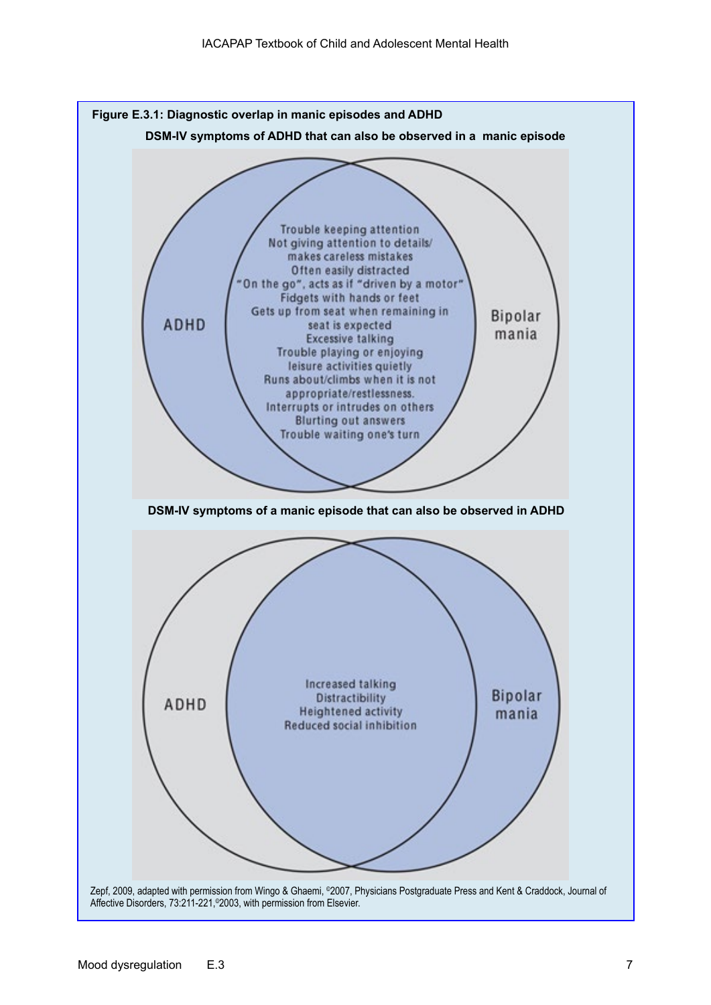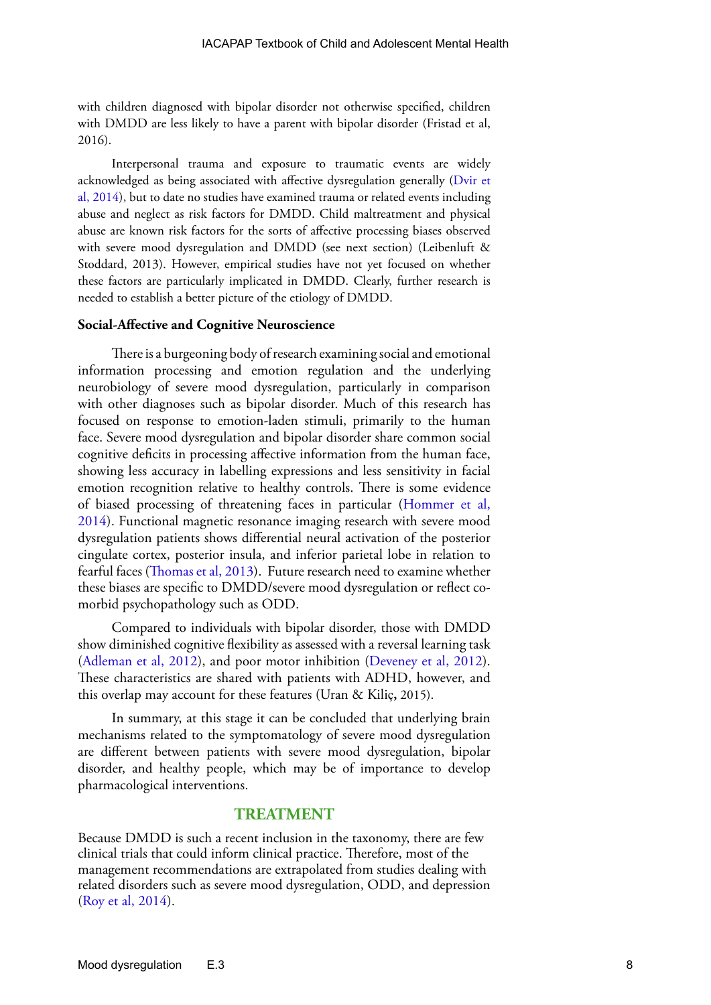with children diagnosed with bipolar disorder not otherwise specified, children with DMDD are less likely to have a parent with bipolar disorder (Fristad et al, 2016).

Interpersonal trauma and exposure to traumatic events are widely acknowledged as being associated with affective dysregulation generally ([Dvir et](http://www.ncbi.nlm.nih.gov/pmc/articles/PMC4091823/)  [al, 2014\)](http://www.ncbi.nlm.nih.gov/pmc/articles/PMC4091823/), but to date no studies have examined trauma or related events including abuse and neglect as risk factors for DMDD. Child maltreatment and physical abuse are known risk factors for the sorts of affective processing biases observed with severe mood dysregulation and DMDD (see next section) (Leibenluft & Stoddard, 2013). However, empirical studies have not yet focused on whether these factors are particularly implicated in DMDD. Clearly, further research is needed to establish a better picture of the etiology of DMDD.

#### **Social-Affective and Cognitive Neuroscience**

There is a burgeoning body of research examining social and emotional information processing and emotion regulation and the underlying neurobiology of severe mood dysregulation, particularly in comparison with other diagnoses such as bipolar disorder. Much of this research has focused on response to emotion-laden stimuli, primarily to the human face. Severe mood dysregulation and bipolar disorder share common social cognitive deficits in processing affective information from the human face, showing less accuracy in labelling expressions and less sensitivity in facial emotion recognition relative to healthy controls. There is some evidence of biased processing of threatening faces in particular [\(Hommer et al,](http://europepmc.org/articles/pmc3933451)  [2014](http://europepmc.org/articles/pmc3933451)). Functional magnetic resonance imaging research with severe mood dysregulation patients shows differential neural activation of the posterior cingulate cortex, posterior insula, and inferior parietal lobe in relation to fearful faces [\(Thomas et al, 2013](http://www.sciencedirect.com/science/article/pii/S2213158213000466)). Future research need to examine whether these biases are specific to DMDD/severe mood dysregulation or reflect comorbid psychopathology such as ODD.

Compared to individuals with bipolar disorder, those with DMDD show diminished cognitive flexibility as assessed with a reversal learning task [\(Adleman et al, 2012](http://www.ncbi.nlm.nih.gov/pmc/articles/PMC3472043/)), and poor motor inhibition [\(Deveney et al, 2012](http://www.ncbi.nlm.nih.gov/pmc/articles/PMC3245776/)). These characteristics are shared with patients with ADHD, however, and this overlap may account for these features (Uran & Kiliç**,** 2015).

In summary, at this stage it can be concluded that underlying brain mechanisms related to the symptomatology of severe mood dysregulation are different between patients with severe mood dysregulation, bipolar disorder, and healthy people, which may be of importance to develop pharmacological interventions.

#### **TREATMENT**

Because DMDD is such a recent inclusion in the taxonomy, there are few clinical trials that could inform clinical practice. Therefore, most of the management recommendations are extrapolated from studies dealing with related disorders such as severe mood dysregulation, ODD, and depression [\(Roy et al, 2014\)](http://people.socsci.tau.ac.il/mu/anxietytrauma/files/2014/04/Roy-et-al-2013.pdf).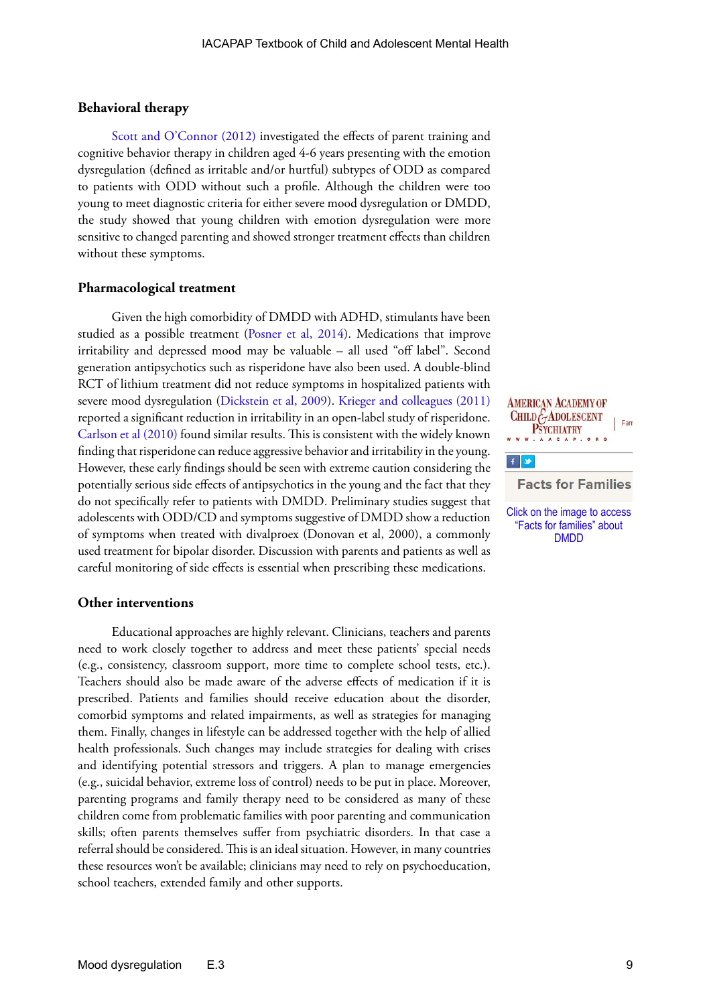#### **Behavioral therapy**

[Scott and O'Connor \(2012\)](http://incredibleyears.com/wp-content/uploads/an-experimental-test-of-differential_2012.pdf) investigated the effects of parent training and cognitive behavior therapy in children aged 4-6 years presenting with the emotion dysregulation (defined as irritable and/or hurtful) subtypes of ODD as compared to patients with ODD without such a profile. Although the children were too young to meet diagnostic criteria for either severe mood dysregulation or DMDD, the study showed that young children with emotion dysregulation were more sensitive to changed parenting and showed stronger treatment effects than children without these symptoms.

#### **Pharmacological treatment**

Given the high comorbidity of DMDD with ADHD, stimulants have been studied as a possible treatment ([Posner et al, 2014](http://europepmc.org/articles/pmc4243526)). Medications that improve irritability and depressed mood may be valuable – all used "off label". Second generation antipsychotics such as risperidone have also been used. A double-blind RCT of lithium treatment did not reduce symptoms in hospitalized patients with severe mood dysregulation [\(Dickstein et al, 2009](http://www.ncbi.nlm.nih.gov/pmc/articles/mid/NIHMS108900/)). [Krieger and colleagues \(2011\)](file:///C:/Users/Joseph%20Rey/Documents/eBOOK/BOOK%202016%20ED/E.3%20DMDD%20UPDATED/Label_Trial_of_Risperidone_in_Children_and_Adolescents_with_Severe_Mood_Dysregulation) reported a significant reduction in irritability in an open-label study of risperidone. [Carlson et al \(2010\)](http://www.ncbi.nlm.nih.gov/pmc/articles/PMC2990969/) found similar results. This is consistent with the widely known finding that risperidone can reduce aggressive behavior and irritability in the young. However, these early findings should be seen with extreme caution considering the potentially serious side effects of antipsychotics in the young and the fact that they do not specifically refer to patients with DMDD. Preliminary studies suggest that adolescents with ODD/CD and symptoms suggestive of DMDD show a reduction of symptoms when treated with divalproex (Donovan et al, 2000), a commonly used treatment for bipolar disorder. Discussion with parents and patients as well as careful monitoring of side effects is essential when prescribing these medications.

#### **Other interventions**

Educational approaches are highly relevant. Clinicians, teachers and parents need to work closely together to address and meet these patients' special needs (e.g., consistency, classroom support, more time to complete school tests, etc.). Teachers should also be made aware of the adverse effects of medication if it is prescribed. Patients and families should receive education about the disorder, comorbid symptoms and related impairments, as well as strategies for managing them. Finally, changes in lifestyle can be addressed together with the help of allied health professionals. Such changes may include strategies for dealing with crises and identifying potential stressors and triggers. A plan to manage emergencies (e.g., suicidal behavior, extreme loss of control) needs to be put in place. Moreover, parenting programs and family therapy need to be considered as many of these children come from problematic families with poor parenting and communication skills; often parents themselves suffer from psychiatric disorders. In that case a referral should be considered. This is an ideal situation. However, in many countries these resources won't be available; clinicians may need to rely on psychoeducation, school teachers, extended family and other supports.

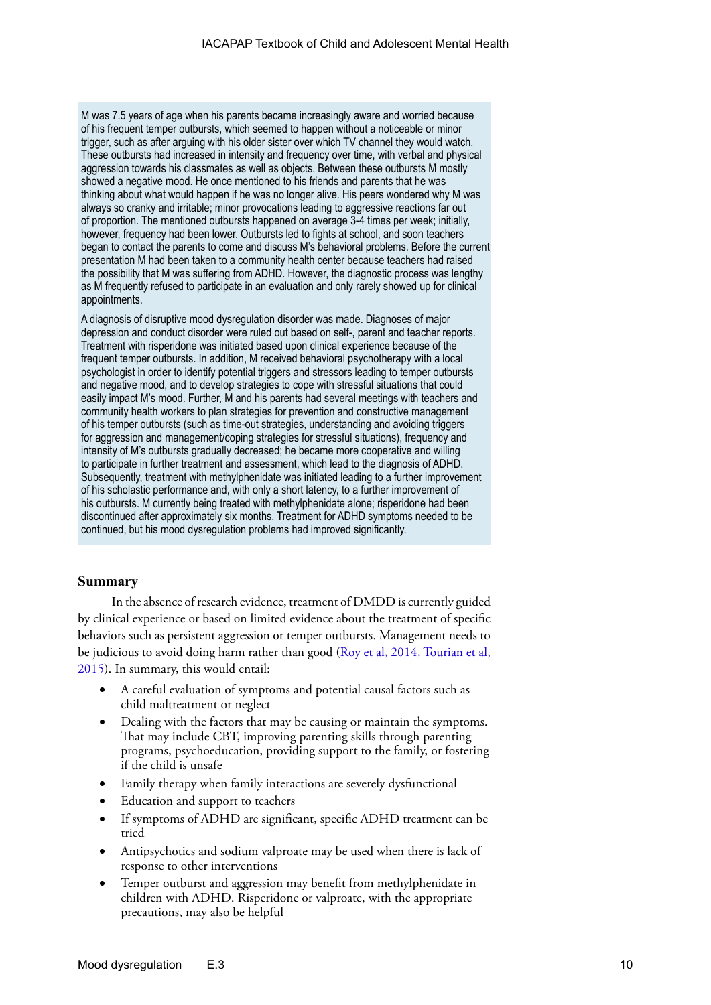M was 7.5 years of age when his parents became increasingly aware and worried because of his frequent temper outbursts, which seemed to happen without a noticeable or minor trigger, such as after arguing with his older sister over which TV channel they would watch. These outbursts had increased in intensity and frequency over time, with verbal and physical aggression towards his classmates as well as objects. Between these outbursts M mostly showed a negative mood. He once mentioned to his friends and parents that he was thinking about what would happen if he was no longer alive. His peers wondered why M was always so cranky and irritable; minor provocations leading to aggressive reactions far out of proportion. The mentioned outbursts happened on average 3-4 times per week; initially, however, frequency had been lower. Outbursts led to fights at school, and soon teachers began to contact the parents to come and discuss M's behavioral problems. Before the current presentation M had been taken to a community health center because teachers had raised the possibility that M was suffering from ADHD. However, the diagnostic process was lengthy as M frequently refused to participate in an evaluation and only rarely showed up for clinical appointments.

A diagnosis of disruptive mood dysregulation disorder was made. Diagnoses of major depression and conduct disorder were ruled out based on self-, parent and teacher reports. Treatment with risperidone was initiated based upon clinical experience because of the frequent temper outbursts. In addition, M received behavioral psychotherapy with a local psychologist in order to identify potential triggers and stressors leading to temper outbursts and negative mood, and to develop strategies to cope with stressful situations that could easily impact M's mood. Further, M and his parents had several meetings with teachers and community health workers to plan strategies for prevention and constructive management of his temper outbursts (such as time-out strategies, understanding and avoiding triggers for aggression and management/coping strategies for stressful situations), frequency and intensity of M's outbursts gradually decreased; he became more cooperative and willing to participate in further treatment and assessment, which lead to the diagnosis of ADHD. Subsequently, treatment with methylphenidate was initiated leading to a further improvement of his scholastic performance and, with only a short latency, to a further improvement of his outbursts. M currently being treated with methylphenidate alone; risperidone had been discontinued after approximately six months. Treatment for ADHD symptoms needed to be continued, but his mood dysregulation problems had improved significantly.

#### **Summary**

In the absence of research evidence, treatment of DMDD is currently guided by clinical experience or based on limited evidence about the treatment of specific behaviors such as persistent aggression or temper outbursts. Management needs to be judicious to avoid doing harm rather than good ([Roy et al, 2014](http://www.ncbi.nlm.nih.gov/pmc/articles/PMC4390118/), [Tourian et al,](http://www.ncbi.nlm.nih.gov/pmc/articles/PMC4357333/)  [2015](http://www.ncbi.nlm.nih.gov/pmc/articles/PMC4357333/)). In summary, this would entail:

- A careful evaluation of symptoms and potential causal factors such as child maltreatment or neglect
- Dealing with the factors that may be causing or maintain the symptoms. That may include CBT, improving parenting skills through parenting programs, psychoeducation, providing support to the family, or fostering if the child is unsafe
- Family therapy when family interactions are severely dysfunctional
- Education and support to teachers
- If symptoms of ADHD are significant, specific ADHD treatment can be tried
- Antipsychotics and sodium valproate may be used when there is lack of response to other interventions
- Temper outburst and aggression may benefit from methylphenidate in children with ADHD. Risperidone or valproate, with the appropriate precautions, may also be helpful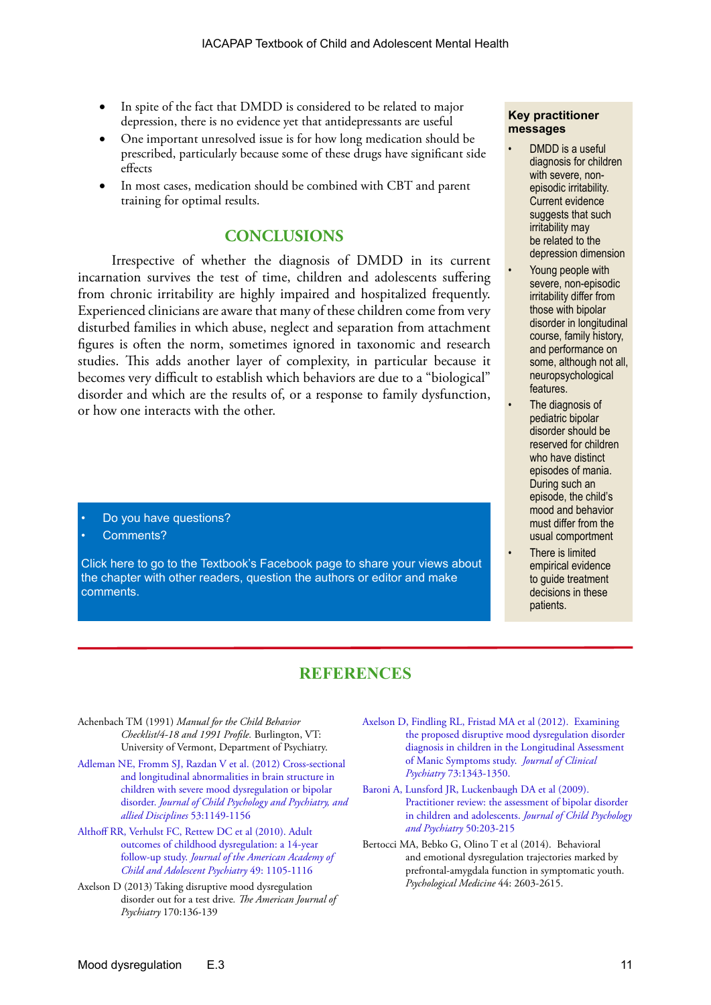- In spite of the fact that DMDD is considered to be related to major depression, there is no evidence yet that antidepressants are useful
- One important unresolved issue is for how long medication should be prescribed, particularly because some of these drugs have significant side **effects**
- In most cases, medication should be combined with CBT and parent training for optimal results.

## **CONCLUSIONS**

Irrespective of whether the diagnosis of DMDD in its current incarnation survives the test of time, children and adolescents suffering from chronic irritability are highly impaired and hospitalized frequently. Experienced clinicians are aware that many of these children come from very disturbed families in which abuse, neglect and separation from attachment figures is often the norm, sometimes ignored in taxonomic and research studies. This adds another layer of complexity, in particular because it becomes very difficult to establish which behaviors are due to a "biological" disorder and which are the results of, or a response to family dysfunction, or how one interacts with the other.

- Do you have questions?
- Comments?

[Click here to go to the Textbook's Facebook page to share your views about](https://www.facebook.com/pages/IACAPAP-Textbook-of-Child-and-Adolescent-Mental-Health/249690448525378)  the chapter with other readers, question the authors or editor and make comments.

#### **Key practitioner messages**

- DMDD is a useful diagnosis for children with severe, nonepisodic irritability. Current evidence suggests that such irritability may be related to the depression dimension
- Young people with severe, non-episodic irritability differ from those with bipolar disorder in longitudinal course, family history, and performance on some, although not all. neuropsychological features.
- The diagnosis of pediatric bipolar disorder should be reserved for children who have distinct episodes of mania. During such an episode, the child's mood and behavior must differ from the usual comportment
- There is limited empirical evidence to guide treatment decisions in these patients.

# **REFERENCES**

Achenbach TM (1991) *Manual for the Child Behavior Checklist/4-18 and 1991 Profile.* Burlington, VT: University of Vermont, Department of Psychiatry.

- [Adleman NE, Fromm SJ, Razdan V et al. \(2012\) Cross-sectional](http://www.ncbi.nlm.nih.gov/pmc/articles/PMC3472043/)  [and longitudinal abnormalities in brain structure in](http://www.ncbi.nlm.nih.gov/pmc/articles/PMC3472043/)  [children with severe mood dysregulation or bipolar](http://www.ncbi.nlm.nih.gov/pmc/articles/PMC3472043/)  disorder. *[Journal of Child Psychology and Psychiatry, and](http://www.ncbi.nlm.nih.gov/pmc/articles/PMC3472043/)  [allied Disciplines](http://www.ncbi.nlm.nih.gov/pmc/articles/PMC3472043/)* 53:1149-1156
- [Althoff RR, Verhulst FC, Rettew DC et al \(2010\). Adult](http://www.ncbi.nlm.nih.gov/pmc/articles/PMC2965164/)  [outcomes of childhood dysregulation: a 14-year](http://www.ncbi.nlm.nih.gov/pmc/articles/PMC2965164/)  follow-up study. *[Journal of the American Academy of](http://www.ncbi.nlm.nih.gov/pmc/articles/PMC2965164/)  [Child and Adolescent Psychiatry](http://www.ncbi.nlm.nih.gov/pmc/articles/PMC2965164/)* 49: 1105-1116
- Axelson D (2013) Taking disruptive mood dysregulation disorder out for a test drive*. The American Journal of Psychiatry* 170:136-139
- [Axelson D, Findling RL, Fristad MA et al \(2012\). Examining](http://www.ncbi.nlm.nih.gov/pmc/articles/PMC3581334/)  [the proposed disruptive mood dysregulation disorder](http://www.ncbi.nlm.nih.gov/pmc/articles/PMC3581334/)  [diagnosis in children in the Longitudinal Assessment](http://www.ncbi.nlm.nih.gov/pmc/articles/PMC3581334/)  [of Manic Symptoms study.](http://www.ncbi.nlm.nih.gov/pmc/articles/PMC3581334/) *Journal of Clinical Psychiatry* [73:1343-1350.](http://www.ncbi.nlm.nih.gov/pmc/articles/PMC3581334/)
- [Baroni A, Lunsford JR, Luckenbaugh DA et al \(2009\).](http://www.ncbi.nlm.nih.gov/pmc/articles/PMC2786990/)  [Practitioner review: the assessment of bipolar disorder](http://www.ncbi.nlm.nih.gov/pmc/articles/PMC2786990/)  [in children and adolescents.](http://www.ncbi.nlm.nih.gov/pmc/articles/PMC2786990/) *Journal of Child Psychology [and Psychiatry](http://www.ncbi.nlm.nih.gov/pmc/articles/PMC2786990/)* 50:203-215
- Bertocci MA, Bebko G, Olino T et al (2014). Behavioral and emotional dysregulation trajectories marked by prefrontal-amygdala function in symptomatic youth. *Psychological Medicine* 44: 2603-2615.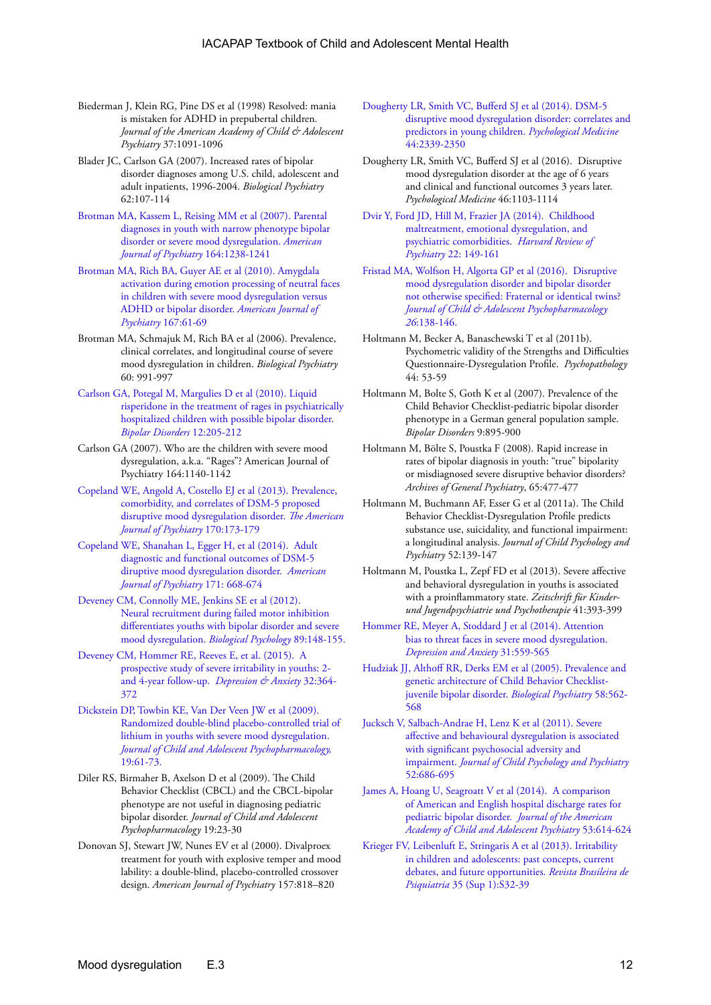- Biederman J, Klein RG, Pine DS et al (1998) Resolved: mania is mistaken for ADHD in prepubertal children. *Journal of the American Academy of Child & Adolescent Psychiatry* 37:1091-1096
- Blader JC, Carlson GA (2007). Increased rates of bipolar disorder diagnoses among U.S. child, adolescent and adult inpatients, 1996-2004. *Biological Psychiatry* 62:107-114
- [Brotman MA, Kassem L, Reising MM et al \(2007\). Parental](https://www.researchgate.net/profile/Brendan_Rich2/publication/6168613_Parental_diagnoses_in_youth_with_narrow_phenotype_bipolar_disorder_or_severe_mood_dysregulation/links/0fcfd50a2ae74b39c1000000.pdf)  [diagnoses in youth with narrow phenotype bipolar](https://www.researchgate.net/profile/Brendan_Rich2/publication/6168613_Parental_diagnoses_in_youth_with_narrow_phenotype_bipolar_disorder_or_severe_mood_dysregulation/links/0fcfd50a2ae74b39c1000000.pdf)  [disorder or severe mood dysregulation.](https://www.researchgate.net/profile/Brendan_Rich2/publication/6168613_Parental_diagnoses_in_youth_with_narrow_phenotype_bipolar_disorder_or_severe_mood_dysregulation/links/0fcfd50a2ae74b39c1000000.pdf) *American [Journal of Psychiatry](https://www.researchgate.net/profile/Brendan_Rich2/publication/6168613_Parental_diagnoses_in_youth_with_narrow_phenotype_bipolar_disorder_or_severe_mood_dysregulation/links/0fcfd50a2ae74b39c1000000.pdf)* 164:1238-1241
- [Brotman MA, Rich BA, Guyer AE et al \(2010\). Amygdala](http://www.ncbi.nlm.nih.gov/pmc/articles/PMC3075433/)  [activation during emotion processing of neutral faces](http://www.ncbi.nlm.nih.gov/pmc/articles/PMC3075433/)  [in children with severe mood dysregulation versus](http://www.ncbi.nlm.nih.gov/pmc/articles/PMC3075433/)  [ADHD or bipolar disorder.](http://www.ncbi.nlm.nih.gov/pmc/articles/PMC3075433/) *American Journal of Psychiatry* [167:61-69](http://www.ncbi.nlm.nih.gov/pmc/articles/PMC3075433/)
- Brotman MA, Schmajuk M, Rich BA et al (2006). Prevalence, clinical correlates, and longitudinal course of severe mood dysregulation in children. *Biological Psychiatry*  60: 991-997
- [Carlson GA, Potegal M, Margulies D et al \(2010\). Liquid](http://www.ncbi.nlm.nih.gov/pmc/articles/PMC2990969/)  [risperidone in the treatment of rages in psychiatrically](http://www.ncbi.nlm.nih.gov/pmc/articles/PMC2990969/)  [hospitalized children with possible bipolar disorder.](http://www.ncbi.nlm.nih.gov/pmc/articles/PMC2990969/)  *[Bipolar Disorders](http://www.ncbi.nlm.nih.gov/pmc/articles/PMC2990969/)* 12:205-212
- Carlson GA (2007). Who are the children with severe mood dysregulation, a.k.a. "Rages"? American Journal of Psychiatry 164:1140-1142
- [Copeland WE, Angold A, Costello EJ et al \(2013\). Prevalence,](http://www.ncbi.nlm.nih.gov/pmc/articles/PMC3573525/)  [comorbidity, and correlates of DSM-5 proposed](http://www.ncbi.nlm.nih.gov/pmc/articles/PMC3573525/)  [disruptive mood dysregulation disorder.](http://www.ncbi.nlm.nih.gov/pmc/articles/PMC3573525/) *The American [Journal of Psychiatry](http://www.ncbi.nlm.nih.gov/pmc/articles/PMC3573525/)* 170:173-179
- [Copeland WE, Shanahan L, Egger H, et al \(2014\). Adult](http://europepmc.org/articles/pmc4106474)  [diagnostic and functional outcomes of DSM-5](http://europepmc.org/articles/pmc4106474)  [diruptive mood dysregulation disorder.](http://europepmc.org/articles/pmc4106474) *American [Journal of Psychiatry](http://europepmc.org/articles/pmc4106474)* 171: 668-674
- [Deveney CM, Connolly ME, Jenkins SE et al \(2012\).](http://www.ncbi.nlm.nih.gov/pmc/articles/PMC3245776/)  [Neural recruitment during failed motor inhibition](http://www.ncbi.nlm.nih.gov/pmc/articles/PMC3245776/)  [differentiates youths with bipolar disorder and severe](http://www.ncbi.nlm.nih.gov/pmc/articles/PMC3245776/)  [mood dysregulation.](http://www.ncbi.nlm.nih.gov/pmc/articles/PMC3245776/) *Biological Psychology* 89:148-155.
- [Deveney CM, Hommer RE, Reeves E, et al. \(2015\). A](http://www.kcl.ac.uk/ioppn/depts/cap/research/moodlab/Papers/Deveney-et-al-A-Prospective-Study-of-Severe-Irritability-in-Youths---2-and-4-year-Follow-Up.pdf)  [prospective study of severe irritability in youths: 2](http://www.kcl.ac.uk/ioppn/depts/cap/research/moodlab/Papers/Deveney-et-al-A-Prospective-Study-of-Severe-Irritability-in-Youths---2-and-4-year-Follow-Up.pdf)  [and 4-year follow-up.](http://www.kcl.ac.uk/ioppn/depts/cap/research/moodlab/Papers/Deveney-et-al-A-Prospective-Study-of-Severe-Irritability-in-Youths---2-and-4-year-Follow-Up.pdf) *Depression & Anxiety* 32:364- [372](http://www.kcl.ac.uk/ioppn/depts/cap/research/moodlab/Papers/Deveney-et-al-A-Prospective-Study-of-Severe-Irritability-in-Youths---2-and-4-year-Follow-Up.pdf)
- [Dickstein DP, Towbin KE, Van Der Veen JW et al \(2009\).](http://www.ncbi.nlm.nih.gov/pmc/articles/mid/NIHMS108900/)  [Randomized double-blind placebo-controlled trial of](http://www.ncbi.nlm.nih.gov/pmc/articles/mid/NIHMS108900/)  [lithium in youths with severe mood dysregulation.](http://www.ncbi.nlm.nih.gov/pmc/articles/mid/NIHMS108900/)  *[Journal of Child and Adolescent Psychopharmacology,](http://www.ncbi.nlm.nih.gov/pmc/articles/mid/NIHMS108900/)*  [19:61-73.](http://www.ncbi.nlm.nih.gov/pmc/articles/mid/NIHMS108900/)
- Diler RS, Birmaher B, Axelson D et al (2009). The Child Behavior Checklist (CBCL) and the CBCL-bipolar phenotype are not useful in diagnosing pediatric bipolar disorder. *Journal of Child and Adolescent Psychopharmacology* 19:23-30
- Donovan SJ, Stewart JW, Nunes EV et al (2000). Divalproex treatment for youth with explosive temper and mood lability: a double-blind, placebo-controlled crossover design. *American Journal of Psychiatry* 157:818–820

[Dougherty LR, Smith VC, Bufferd SJ et al \(2014\). DSM-5](http://www.ncbi.nlm.nih.gov/pmc/articles/PMC4480202/)  [disruptive mood dysregulation disorder: correlates and](http://www.ncbi.nlm.nih.gov/pmc/articles/PMC4480202/)  [predictors in young children.](http://www.ncbi.nlm.nih.gov/pmc/articles/PMC4480202/) *Psychological Medicine* [44:2339-2350](http://www.ncbi.nlm.nih.gov/pmc/articles/PMC4480202/)

- Dougherty LR, Smith VC, Bufferd SJ et al (2016). Disruptive mood dysregulation disorder at the age of 6 years and clinical and functional outcomes 3 years later. *Psychological Medicine* 46:1103-1114
- [Dvir Y, Ford JD, Hill M, Frazier JA \(2014\). Childhood](http://www.ncbi.nlm.nih.gov/pmc/articles/PMC4091823/)  [maltreatment, emotional dysregulation, and](http://www.ncbi.nlm.nih.gov/pmc/articles/PMC4091823/)  [psychiatric comorbidities.](http://www.ncbi.nlm.nih.gov/pmc/articles/PMC4091823/) *Harvard Review of Psychiatry* [22: 149-161](http://www.ncbi.nlm.nih.gov/pmc/articles/PMC4091823/)
- [Fristad MA, Wolfson H, Algorta GP et al \(2016\). Disruptive](http://online.liebertpub.com/doi/pdfplus/10.1089/cap.2015.0062)  [mood dysregulation disorder and bipolar disorder](http://online.liebertpub.com/doi/pdfplus/10.1089/cap.2015.0062)  [not otherwise specified: Fraternal or identical twins?](http://online.liebertpub.com/doi/pdfplus/10.1089/cap.2015.0062)  *[Journal of Child & Adolescent Psychopharmacology](http://online.liebertpub.com/doi/pdfplus/10.1089/cap.2015.0062)  26*[:138-146.](http://online.liebertpub.com/doi/pdfplus/10.1089/cap.2015.0062)
- Holtmann M, Becker A, Banaschewski T et al (2011b). Psychometric validity of the Strengths and Difficulties Questionnaire-Dysregulation Profile. *Psychopathology* 44: 53-59
- Holtmann M, Bolte S, Goth K et al (2007). Prevalence of the Child Behavior Checklist-pediatric bipolar disorder phenotype in a German general population sample. *Bipolar Disorders* 9:895-900
- Holtmann M, Bölte S, Poustka F (2008). Rapid increase in rates of bipolar diagnosis in youth: "true" bipolarity or misdiagnosed severe disruptive behavior disorders? *Archives of General Psychiatry*, 65:477-477
- Holtmann M, Buchmann AF, Esser G et al (2011a). The Child Behavior Checklist-Dysregulation Profile predicts substance use, suicidality, and functional impairment: a longitudinal analysis. *Journal of Child Psychology and Psychiatry* 52:139-147
- Holtmann M, Poustka L, Zepf FD et al (2013). Severe affective and behavioral dysregulation in youths is associated with a proinflammatory state. *Zeitschrift für Kinderund Jugendpsychiatrie und Psychotherapie* 41:393-399
- [Hommer RE, Meyer A, Stoddard J et al \(2014\). Attention](http://europepmc.org/articles/pmc3933451)  [bias to threat faces in severe mood dysregulation.](http://europepmc.org/articles/pmc3933451)  *[Depression and Anxiety](http://europepmc.org/articles/pmc3933451)* 31:559-565
- [Hudziak JJ, Althoff RR, Derks EM et al \(2005\). Prevalence and](http://www.tweelingenregister.org/nederlands/verslaggeving/NTR_publicaties_2005/Hudziak_BP_2005.pdf)  [genetic architecture of Child Behavior Checklist](http://www.tweelingenregister.org/nederlands/verslaggeving/NTR_publicaties_2005/Hudziak_BP_2005.pdf)[juvenile bipolar disorder.](http://www.tweelingenregister.org/nederlands/verslaggeving/NTR_publicaties_2005/Hudziak_BP_2005.pdf) *Biological Psychiatry* 58:562- [568](http://www.tweelingenregister.org/nederlands/verslaggeving/NTR_publicaties_2005/Hudziak_BP_2005.pdf)
- [Jucksch V, Salbach-Andrae H, Lenz K et al \(2011\). Severe](https://www.researchgate.net/profile/Viola_Kappel_maiden_name_Jucksch/publication/47642806_Severe_affective_and_behavioural_dysregulation_is_associated_with_significant_psychosocial_adversity_and_impairment/links/02e7e51e0032ea4b0e000000.pdf)  [affective and behavioural dysregulation is associated](https://www.researchgate.net/profile/Viola_Kappel_maiden_name_Jucksch/publication/47642806_Severe_affective_and_behavioural_dysregulation_is_associated_with_significant_psychosocial_adversity_and_impairment/links/02e7e51e0032ea4b0e000000.pdf)  [with significant psychosocial adversity and](https://www.researchgate.net/profile/Viola_Kappel_maiden_name_Jucksch/publication/47642806_Severe_affective_and_behavioural_dysregulation_is_associated_with_significant_psychosocial_adversity_and_impairment/links/02e7e51e0032ea4b0e000000.pdf)  impairment. *[Journal of Child Psychology and Psychiatry](https://www.researchgate.net/profile/Viola_Kappel_maiden_name_Jucksch/publication/47642806_Severe_affective_and_behavioural_dysregulation_is_associated_with_significant_psychosocial_adversity_and_impairment/links/02e7e51e0032ea4b0e000000.pdf)*  [52:686-695](https://www.researchgate.net/profile/Viola_Kappel_maiden_name_Jucksch/publication/47642806_Severe_affective_and_behavioural_dysregulation_is_associated_with_significant_psychosocial_adversity_and_impairment/links/02e7e51e0032ea4b0e000000.pdf)
- [James A, Hoang U, Seagroatt V et al \(2014\). A comparison](http://www.ncbi.nlm.nih.gov/pmc/articles/PMC4473258/)  [of American and English hospital discharge rates for](http://www.ncbi.nlm.nih.gov/pmc/articles/PMC4473258/)  [pediatric bipolar disorder.](http://www.ncbi.nlm.nih.gov/pmc/articles/PMC4473258/) *Journal of the American [Academy of Child and Adolescent Psychiatry](http://www.ncbi.nlm.nih.gov/pmc/articles/PMC4473258/)* 53:614-624
- [Krieger FV, Leibenluft E, Stringaris A et al \(2013\). Irritability](http://www.scielo.br/scielo.php?pid=S1516-44462013000500005&script=sci_arttext)  [in children and adolescents: past concepts, current](http://www.scielo.br/scielo.php?pid=S1516-44462013000500005&script=sci_arttext)  [debates, and future opportunities.](http://www.scielo.br/scielo.php?pid=S1516-44462013000500005&script=sci_arttext) *Revista Brasileira de Psiquiatria* [35 \(Sup 1\):S32-39](http://www.scielo.br/scielo.php?pid=S1516-44462013000500005&script=sci_arttext)